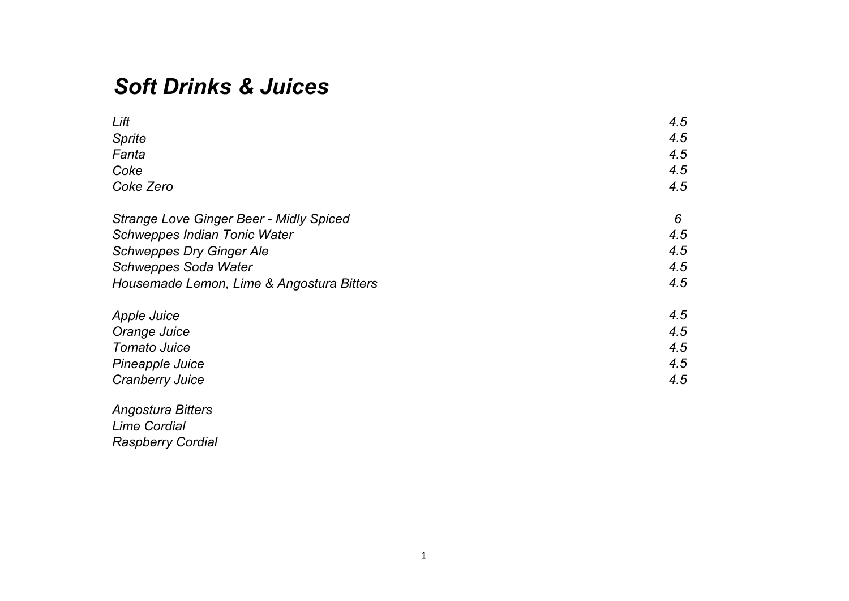## *Soft Drinks & Juices*

| Lift                                           | 4.5 |
|------------------------------------------------|-----|
| <b>Sprite</b>                                  | 4.5 |
| Fanta                                          | 4.5 |
| Coke                                           | 4.5 |
| Coke Zero                                      | 4.5 |
| <b>Strange Love Ginger Beer - Midly Spiced</b> | 6   |
| <b>Schweppes Indian Tonic Water</b>            | 4.5 |
| <b>Schweppes Dry Ginger Ale</b>                | 4.5 |
| <b>Schweppes Soda Water</b>                    | 4.5 |
| Housemade Lemon, Lime & Angostura Bitters      | 4.5 |
| <b>Apple Juice</b>                             | 4.5 |
| Orange Juice                                   | 4.5 |
| <b>Tomato Juice</b>                            | 4.5 |
| Pineapple Juice                                | 4.5 |
| <b>Cranberry Juice</b>                         | 4.5 |
| <b>Angostura Bitters</b>                       |     |
| <b>Lime Cordial</b>                            |     |

*Raspberry Cordial*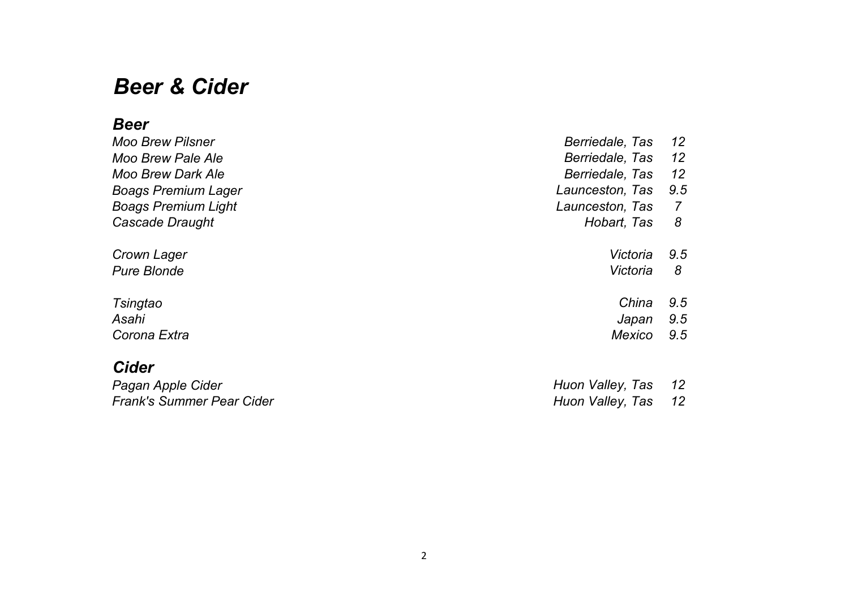## *Beer & Cider*

### *Beer*

| <b>Moo Brew Pilsner</b>    | Berriedale, Tas | 12  |
|----------------------------|-----------------|-----|
| Moo Brew Pale Ale          | Berriedale, Tas | 12  |
| <b>Moo Brew Dark Ale</b>   | Berriedale, Tas | 12  |
| <b>Boags Premium Lager</b> | Launceston, Tas | 9.5 |
| <b>Boags Premium Light</b> | Launceston, Tas | 7   |
| Cascade Draught            | Hobart, Tas     | 8   |
| Crown Lager                | Victoria        | 9.5 |
| <b>Pure Blonde</b>         | Victoria        | 8   |
| <b>Tsingtao</b>            | China           | 9.5 |
| Asahi                      | Japan           | 9.5 |
| Corona Extra               | Mexico          | 9.5 |
| Cider                      |                 |     |

| Pagan Apple Cider         | Huon Valley, Tas | 12   |
|---------------------------|------------------|------|
| Frank's Summer Pear Cider | Huon Valley, Tas | - 12 |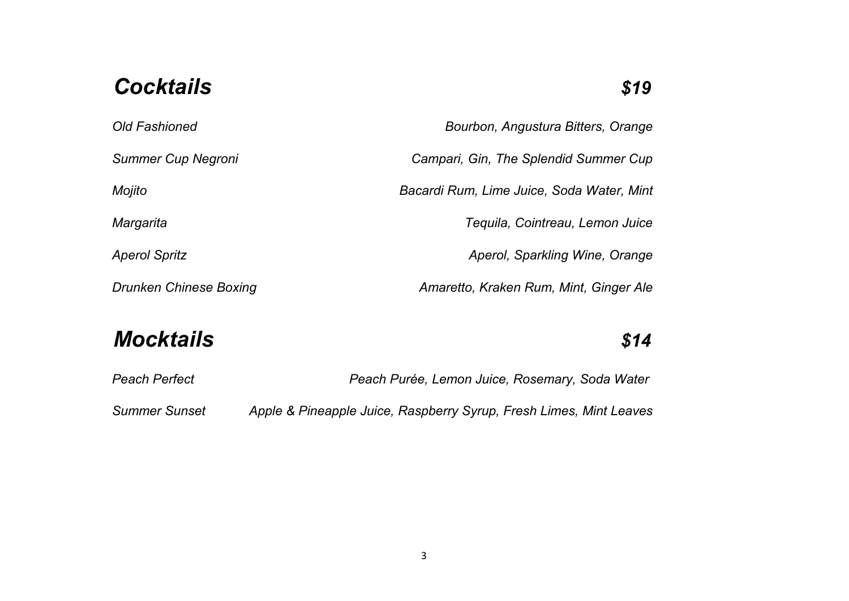## Cocktails **\$19**

| <b>Old Fashioned</b>          | Bourbon, Angustura Bitters, Orange        |
|-------------------------------|-------------------------------------------|
| <b>Summer Cup Negroni</b>     | Campari, Gin, The Splendid Summer Cup     |
| Mojito                        | Bacardi Rum, Lime Juice, Soda Water, Mint |
| Margarita                     | Tequila, Cointreau, Lemon Juice           |
| <b>Aperol Spritz</b>          | Aperol, Sparkling Wine, Orange            |
| <b>Drunken Chinese Boxing</b> | Amaretto, Kraken Rum, Mint, Ginger Ale    |
|                               |                                           |

# *Mocktails \$14*

| Peach Perfect        | Peach Purée, Lemon Juice, Rosemary, Soda Water                     |
|----------------------|--------------------------------------------------------------------|
| <b>Summer Sunset</b> | Apple & Pineapple Juice, Raspberry Syrup, Fresh Limes, Mint Leaves |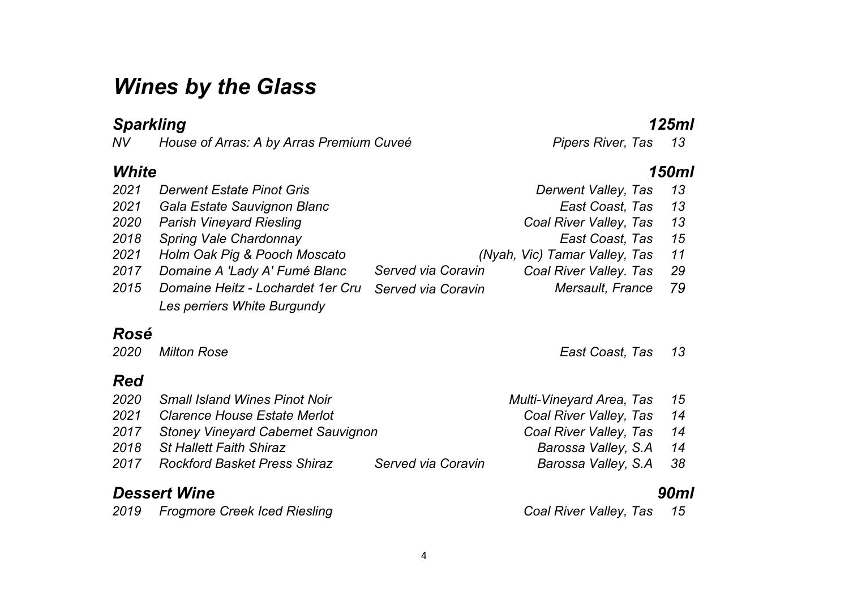## *Wines by the Glass*

*Sparkling 125ml House of Arras: A by Arras Premium Cuveé* 

| White |                                                                  |                                                                               | 150ml |
|-------|------------------------------------------------------------------|-------------------------------------------------------------------------------|-------|
| 2021  | <b>Derwent Estate Pinot Gris</b>                                 | Derwent Valley, Tas                                                           | 13    |
| 2021  | Gala Estate Sauvignon Blanc                                      | East Coast, Tas                                                               | 13    |
| 2020  | <b>Parish Vineyard Riesling</b>                                  | Coal River Valley, Tas                                                        | 13    |
| 2018  | Spring Vale Chardonnay                                           | East Coast, Tas                                                               | 15    |
| 2021  | Holm Oak Pig & Pooch Moscato                                     | (Nyah, Vic) Tamar Valley, Tas                                                 | 11    |
| 2017  | Domaine A 'Lady A' Fumé Blanc                                    | Served via Coravin<br>Coal River Valley. Tas                                  | 29    |
| 2015  | Domaine Heitz - Lochardet 1er Cru<br>Les perriers White Burgundy | Mersault, France<br>Served via Coravin                                        | 79    |
| Rosé  |                                                                  |                                                                               |       |
| 2020  | <b>Milton Rose</b>                                               | East Coast, Tas                                                               | 13    |
| Red   |                                                                  |                                                                               |       |
| 2020  | <b>Small Island Wines Pinot Noir</b>                             | Multi-Vineyard Area, Tas                                                      | 15    |
| nnn 1 | Clevence Lleves Estate Meylet                                    | $\sum_{i=1}^n \sum_{i=1}^n \sum_{j=1}^n \left( \sum_{j=1}^n a_{ij} \right)^2$ |       |

| 2020 | Milton Rose                             |                    | East Coast, Tas 13       |      |
|------|-----------------------------------------|--------------------|--------------------------|------|
| Red  |                                         |                    |                          |      |
| 2020 | <b>Small Island Wines Pinot Noir</b>    |                    | Multi-Vineyard Area, Tas | 15   |
| 2021 | <b>Clarence House Estate Merlot</b>     |                    | Coal River Valley, Tas   | - 14 |
|      | 2017 Stoney Vineyard Cabernet Sauvignon |                    | Coal River Valley, Tas   | 14   |
| 2018 | St Hallett Faith Shiraz                 |                    | Barossa Valley, S.A.     | 14   |
|      | 2017 Rockford Basket Press Shiraz       | Served via Coravin | Barossa Valley, S.A 38   |      |
|      |                                         |                    |                          |      |

#### *Dessert Wine 90ml*

| 2019 | <b>Frogmore Creek Iced Riesling</b> |  |
|------|-------------------------------------|--|
|      |                                     |  |

*Frogmore Creek Iced Riesling Coal River Valley, Tas 15*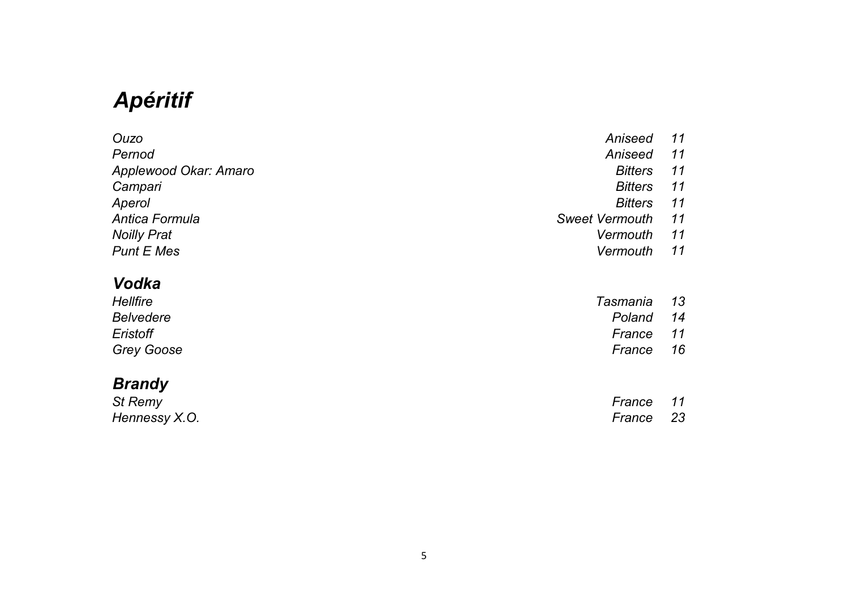# *Apéritif*

| Ouzo                         | Aniseed               | 11 |
|------------------------------|-----------------------|----|
| Pernod                       | Aniseed               | 11 |
| <b>Applewood Okar: Amaro</b> | <b>Bitters</b>        | 11 |
| Campari                      | <b>Bitters</b>        | 11 |
| Aperol                       | <b>Bitters</b>        | 11 |
| Antica Formula               | <b>Sweet Vermouth</b> | 11 |
| <b>Noilly Prat</b>           | Vermouth              | 11 |
| <b>Punt E Mes</b>            | Vermouth              | 11 |

### *Vodka*

| Hellfire          | Tasmania  | - 13 |
|-------------------|-----------|------|
| Belvedere         | Poland    | -14  |
| Eristoff          | France 11 |      |
| <b>Grey Goose</b> | France    | -16  |

#### *Brandy*

| St Remy       | France | 11   |
|---------------|--------|------|
| Hennessy X.O. | France | - 23 |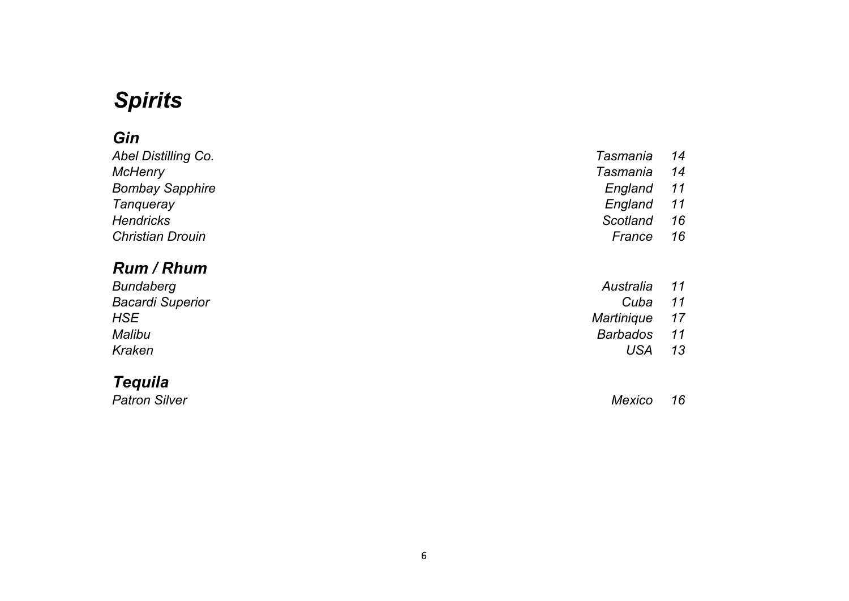# *Spirits*

### *Gin*

| <b>Abel Distilling Co.</b> | Tasmania | 14 |
|----------------------------|----------|----|
| <b>McHenry</b>             | Tasmania | 14 |
| <b>Bombay Sapphire</b>     | England  | 11 |
| Tangueray                  | England  | 11 |
| <b>Hendricks</b>           | Scotland | 16 |
| <b>Christian Drouin</b>    | France   | 16 |

#### *Rum / Rhum*

| 11   |
|------|
| 11   |
| - 17 |
| 11   |
| 13   |
|      |

#### *Tequila*

*Patron Silver Mexico 16*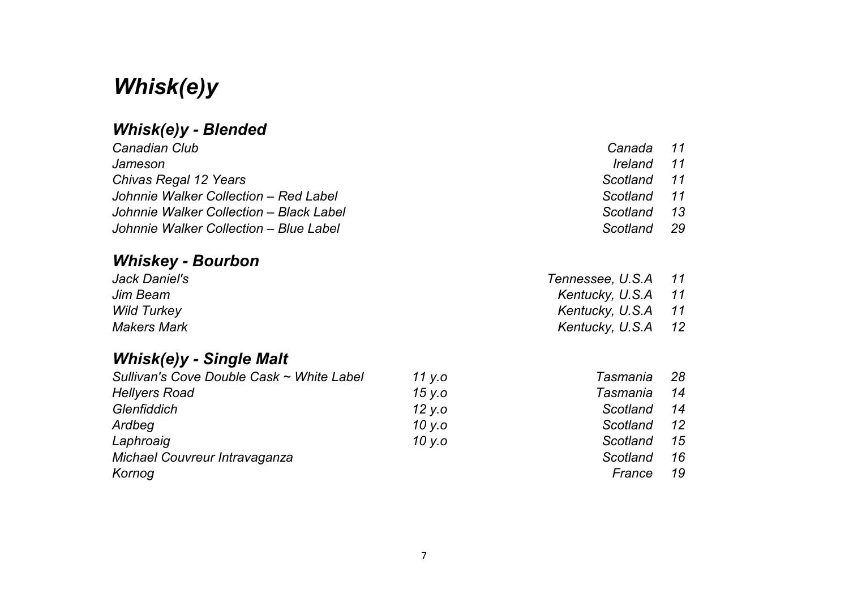## *Whisk(e)y*

### *Whisk(e)y - Blended*

| Canadian Club                           | Canada 11   |    |
|-----------------------------------------|-------------|----|
| Jameson                                 | Ireland     | 11 |
| Chivas Regal 12 Years                   | Scotland 11 |    |
| Johnnie Walker Collection - Red Label   | Scotland 11 |    |
| Johnnie Walker Collection – Black Label | Scotland    | 13 |
| Johnnie Walker Collection – Blue Label  | Scotland    | 29 |
|                                         |             |    |

### *Whiskey - Bourbon*

| Jack Daniel's      | Tennessee, U.S.A   | 11 |
|--------------------|--------------------|----|
| Jim Beam           | Kentucky, U.S.A 11 |    |
| <b>Wild Turkey</b> | Kentucky, U.S.A    | 11 |
| <b>Makers Mark</b> | Kentucky, U.S.A 12 |    |

#### *Whisk(e)y - Single Malt*

| Sullivan's Cove Double Cask ~ White Label | 11 y.o | Tasmania | 28      |
|-------------------------------------------|--------|----------|---------|
| <b>Hellyers Road</b>                      | 15 y.o | Tasmania | 14      |
| Glenfiddich                               | 12 y.o | Scotland | 14      |
| Ardbeg                                    | 10 y.o | Scotland | $12 \,$ |
| Laphroaig                                 | 10 y.o | Scotland | 15      |
| Michael Couvreur Intravaganza             |        | Scotland | 16      |
| Kornog                                    |        | France   | 19      |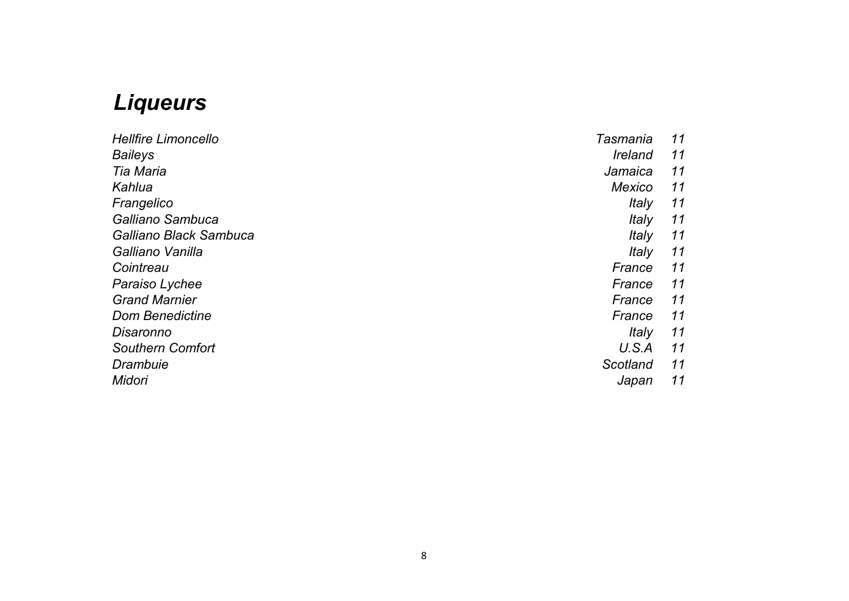## *Liqueurs*

| <b>Hellfire Limoncello</b> | Tasmania       | 11 |
|----------------------------|----------------|----|
| <b>Baileys</b>             | <b>Ireland</b> | 11 |
| Tia Maria                  | Jamaica        | 11 |
| Kahlua                     | Mexico         | 11 |
| Frangelico                 | Italy          | 11 |
| Galliano Sambuca           | <i>Italy</i>   | 11 |
| Galliano Black Sambuca     | Italy          | 11 |
| Galliano Vanilla           | <i>Italy</i>   | 11 |
| Cointreau                  | France         | 11 |
| Paraiso Lychee             | France         | 11 |
| <b>Grand Marnier</b>       | France         | 11 |
| <b>Dom Benedictine</b>     | France         | 11 |
| Disaronno                  | Italy          | 11 |
| <b>Southern Comfort</b>    | U.S.A          | 11 |
| Drambuie                   | Scotland       | 11 |
| Midori                     | Japan          | 11 |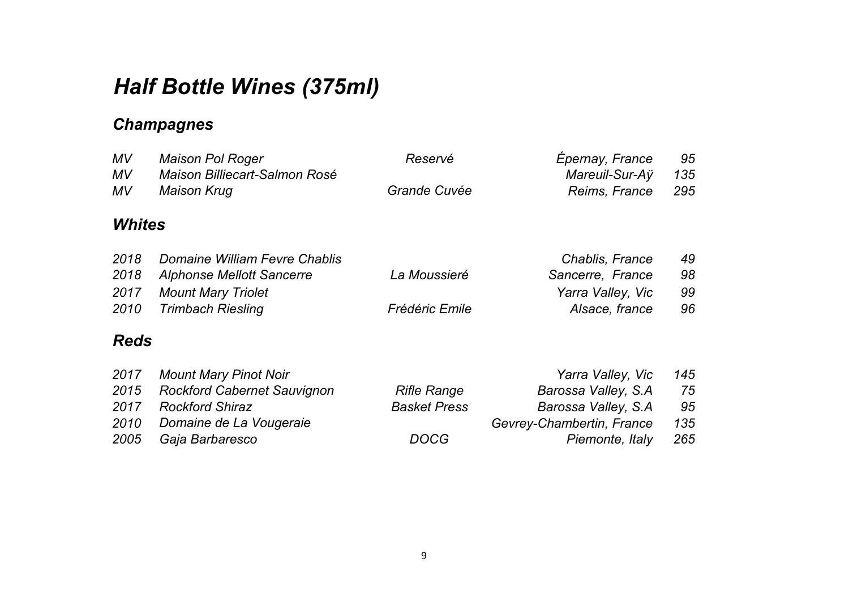# *Half Bottle Wines (375ml)*

### *Champagnes*

| <b>MV</b><br><b>MV</b> | <b>Maison Pol Roger</b><br>Maison Billiecart-Salmon Rosé | Reservé               | Épernay, France<br>Mareuil-Sur-Aÿ | 95<br>135 |
|------------------------|----------------------------------------------------------|-----------------------|-----------------------------------|-----------|
| MV                     | <b>Maison Krug</b>                                       | Grande Cuvée          | Reims, France                     | 295       |
| <b>Whites</b>          |                                                          |                       |                                   |           |
| 2018                   | Domaine William Fevre Chablis                            |                       | Chablis, France                   | 49        |
| 2018                   | Alphonse Mellott Sancerre                                | La Moussieré          | Sancerre, France                  | 98        |
| 2017                   | <b>Mount Mary Triolet</b>                                |                       | Yarra Valley, Vic                 | 99        |
| 2010                   | <b>Trimbach Riesling</b>                                 | <b>Frédéric Emile</b> | Alsace, france                    | 96        |
| <b>Reds</b>            |                                                          |                       |                                   |           |
| 2017                   | <b>Mount Mary Pinot Noir</b>                             |                       | Yarra Valley, Vic                 | 145       |
| 2015                   | <b>Rockford Cabernet Sauvignon</b>                       | <b>Rifle Range</b>    | Barossa Valley, S.A.              | 75        |
| 2017                   | <b>Rockford Shiraz</b>                                   | <b>Basket Press</b>   | Barossa Valley, S.A               | 95        |
| 2010                   | Domaine de La Vougeraie                                  |                       | Gevrey-Chambertin, France         | 135       |
| 2005                   | Gaja Barbaresco                                          | DOCG                  | Piemonte, Italy                   | 265       |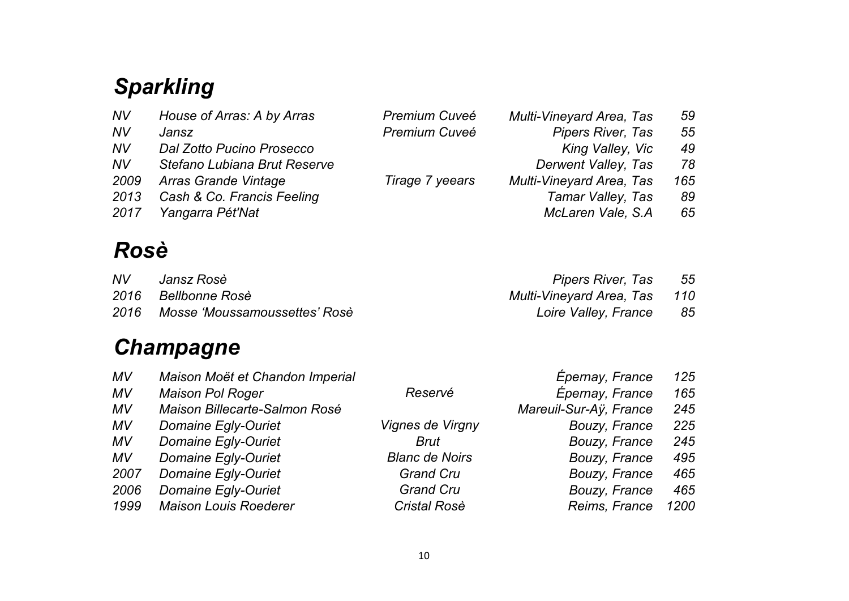# *Sparkling*

| <b>NV</b> | House of Arras: A by Arras   | <b>Premium Cuveé</b> | <b>Multi-Vineyard Area, Tas</b> | 59  |
|-----------|------------------------------|----------------------|---------------------------------|-----|
| <b>NV</b> | Jansz                        | <b>Premium Cuveé</b> | <b>Pipers River, Tas</b>        | 55  |
| <b>NV</b> | Dal Zotto Pucino Prosecco    |                      | King Valley, Vic                | 49  |
| <b>NV</b> | Stefano Lubiana Brut Reserve |                      | Derwent Valley, Tas             | 78  |
| 2009      | Arras Grande Vintage         | Tirage 7 yeears      | <b>Multi-Vineyard Area, Tas</b> | 165 |
| 2013      | Cash & Co. Francis Feeling   |                      | Tamar Valley, Tas               | 89  |
| 2017      | Yangarra Pét'Nat             |                      | McLaren Vale, S.A.              | 65  |
|           |                              |                      |                                 |     |

## *Rosè*

| NV   | Jansz Rosè                    | Pipers River, Tas            | - 55 |
|------|-------------------------------|------------------------------|------|
|      | 2016 Bellbonne Rosè           | Multi-Vineyard Area, Tas 110 |      |
| 2016 | Mosse 'Moussamoussettes' Rosè | Loire Valley, France         | 85   |

# *Champagne*

| MV        | Maison Moët et Chandon Imperial |                       | Epernay, France        | 125  |
|-----------|---------------------------------|-----------------------|------------------------|------|
| MV        | <b>Maison Pol Roger</b>         | Reservé               | Épernay, France        | 165  |
| MV        | Maison Billecarte-Salmon Rosé   |                       | Mareuil-Sur-Ay, France | 245  |
| MV        | <b>Domaine Egly-Ouriet</b>      | Vignes de Virgny      | Bouzy, France          | 225  |
| MV        | <b>Domaine Egly-Ouriet</b>      | Brut                  | <b>Bouzy, France</b>   | 245  |
| <b>MV</b> | Domaine Egly-Ouriet             | <b>Blanc de Noirs</b> | <b>Bouzy, France</b>   | 495  |
| 2007      | Domaine Egly-Ouriet             | <b>Grand Cru</b>      | Bouzy, France          | 465  |
| 2006      | Domaine Egly-Ouriet             | <b>Grand Cru</b>      | <b>Bouzy, France</b>   | 465  |
| 1999      | <b>Maison Louis Roederer</b>    | <b>Cristal Rosè</b>   | Reims, France          | 1200 |
|           |                                 |                       |                        |      |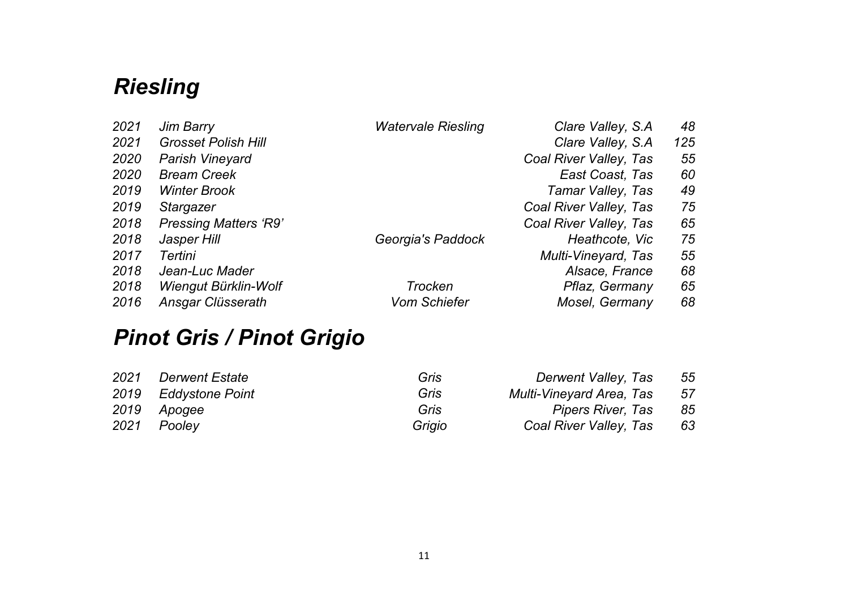# *Riesling*

| 2021 | Jim Barry                    | <b>Watervale Riesling</b> | Clare Valley, S.A.     | 48  |
|------|------------------------------|---------------------------|------------------------|-----|
| 2021 | <b>Grosset Polish Hill</b>   |                           | Clare Valley, S.A.     | 125 |
| 2020 | <b>Parish Vineyard</b>       |                           | Coal River Valley, Tas | 55  |
| 2020 | <b>Bream Creek</b>           |                           | <b>East Coast, Tas</b> | 60  |
| 2019 | <b>Winter Brook</b>          |                           | Tamar Valley, Tas      | 49  |
| 2019 | Stargazer                    |                           | Coal River Valley, Tas | 75  |
| 2018 | <b>Pressing Matters 'R9'</b> |                           | Coal River Valley, Tas | 65  |
| 2018 | Jasper Hill                  | Georgia's Paddock         | Heathcote, Vic         | 75  |
| 2017 | Tertini                      |                           | Multi-Vineyard, Tas    | 55  |
| 2018 | Jean-Luc Mader               |                           | Alsace, France         | 68  |
| 2018 | Wiengut Bürklin-Wolf         | <b>Trocken</b>            | Pflaz, Germany         | 65  |
| 2016 | Ansgar Clüsserath            | <b>Vom Schiefer</b>       | Mosel, Germany         | 68  |

# *Pinot Gris / Pinot Grigio*

| 2021 | <i><b>Derwent Estate</b></i> | Gris   | Derwent Valley, Tas             | 55  |
|------|------------------------------|--------|---------------------------------|-----|
|      | 2019 Eddystone Point         | Gris   | <b>Multi-Vineyard Area, Tas</b> | -57 |
|      | 2019 Apogee                  | Gris   | Pipers River, Tas               | 85  |
|      | 2021 Pooley                  | Grigio | Coal River Valley, Tas          | 63  |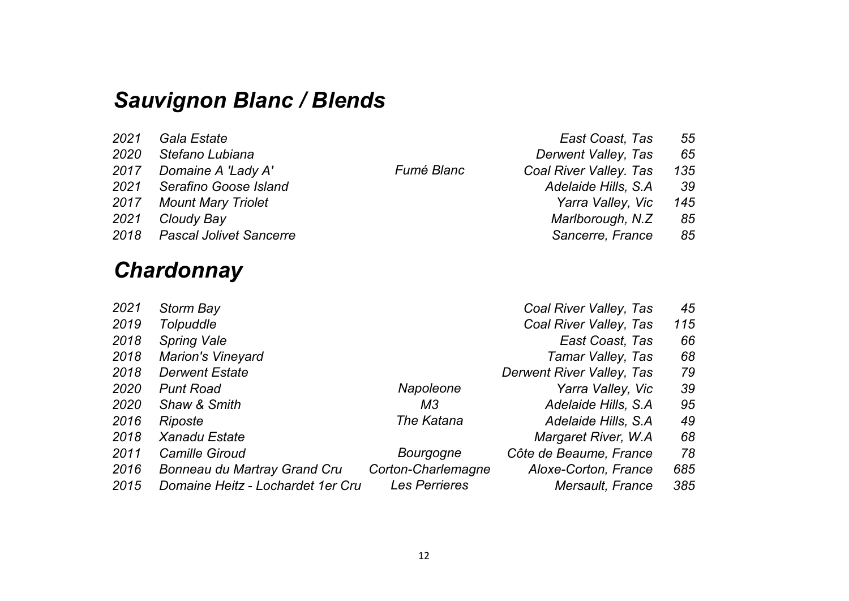## *Sauvignon Blanc / Blends*

| 2021 | Gala Estate                    |
|------|--------------------------------|
| 2020 | Stefano Lubiana                |
| 2017 | Domaine A 'Lady A'             |
| 2021 | Serafino Goose Island          |
| 2017 | <b>Mount Mary Triolet</b>      |
| 2021 | Cloudy Bay                     |
| 2018 | <b>Pascal Jolivet Sancerre</b> |
|      |                                |

## *Chardonnay*

| 2021 | Gala Estate                  |                   | East Coast, Tas        | 55  |
|------|------------------------------|-------------------|------------------------|-----|
| 2020 | Stefano Lubiana              |                   | Derwent Valley, Tas    | 65  |
|      | 2017 Domaine A 'Lady A'      | <b>Fumé Blanc</b> | Coal River Valley. Tas | 135 |
|      | 2021 Serafino Goose Island   |                   | Adelaide Hills, S.A.   | -39 |
|      | 2017 Mount Mary Triolet      |                   | Yarra Valley, Vic      | 145 |
| 2021 | Cloudy Bay                   |                   | Marlborough, N.Z.      | 85  |
|      | 2018 Pascal Jolivet Sancerre |                   | Sancerre, France       | 85  |

| 2021 | Storm Bay                         |                    | Coal River Valley, Tas    | 45  |
|------|-----------------------------------|--------------------|---------------------------|-----|
| 2019 | Tolpuddle                         |                    | Coal River Valley, Tas    | 115 |
| 2018 | <b>Spring Vale</b>                |                    | East Coast, Tas           | 66  |
| 2018 | <b>Marion's Vineyard</b>          |                    | Tamar Valley, Tas         | 68  |
| 2018 | <b>Derwent Estate</b>             |                    | Derwent River Valley, Tas | 79  |
| 2020 | <b>Punt Road</b>                  | Napoleone          | Yarra Valley, Vic         | 39  |
| 2020 | Shaw & Smith                      | ΜЗ                 | Adelaide Hills, S.A.      | 95  |
| 2016 | <b>Riposte</b>                    | The Katana         | Adelaide Hills, S.A.      | 49  |
| 2018 | <b>Xanadu Estate</b>              |                    | Margaret River, W.A.      | 68  |
| 2011 | <b>Camille Giroud</b>             | Bourgogne          | Côte de Beaume, France    | 78  |
| 2016 | Bonneau du Martray Grand Cru      | Corton-Charlemagne | Aloxe-Corton, France      | 685 |
| 2015 | Domaine Heitz - Lochardet 1er Cru | Les Perrieres      | Mersault, France          | 385 |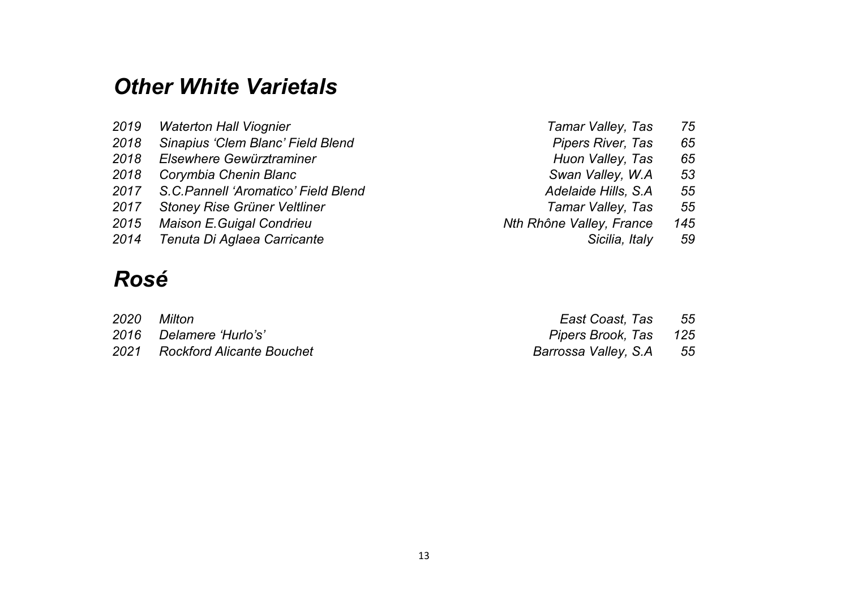## *Other White Varietals*

| <b>Waterton Hall Viognier</b>       | Tamar Valley, Tas                                                                                                                      | 75  |
|-------------------------------------|----------------------------------------------------------------------------------------------------------------------------------------|-----|
| Sinapius 'Clem Blanc' Field Blend   | <b>Pipers River, Tas</b>                                                                                                               | 65  |
|                                     | Huon Valley, Tas                                                                                                                       | 65  |
| Corymbia Chenin Blanc               | Swan Valley, W.A.                                                                                                                      | 53  |
|                                     | Adelaide Hills, S.A.                                                                                                                   | 55  |
| <b>Stoney Rise Grüner Veltliner</b> | Tamar Valley, Tas                                                                                                                      | 55  |
|                                     | Nth Rhône Valley, France                                                                                                               | 145 |
|                                     | Sicilia, Italy                                                                                                                         | 59  |
|                                     | Elsewhere Gewürztraminer<br>2017 S.C. Pannell 'Aromatico' Field Blend<br>2015 Maison E. Guigal Condrieu<br>Tenuta Di Aglaea Carricante |     |

## *Rosé*

| 2020 | Milton                         | East Coast, Tas 55      |  |
|------|--------------------------------|-------------------------|--|
|      | 2016 Delamere 'Hurlo's'        | Pipers Brook, Tas 125   |  |
|      | 2021 Rockford Alicante Bouchet | Barrossa Valley, S.A 55 |  |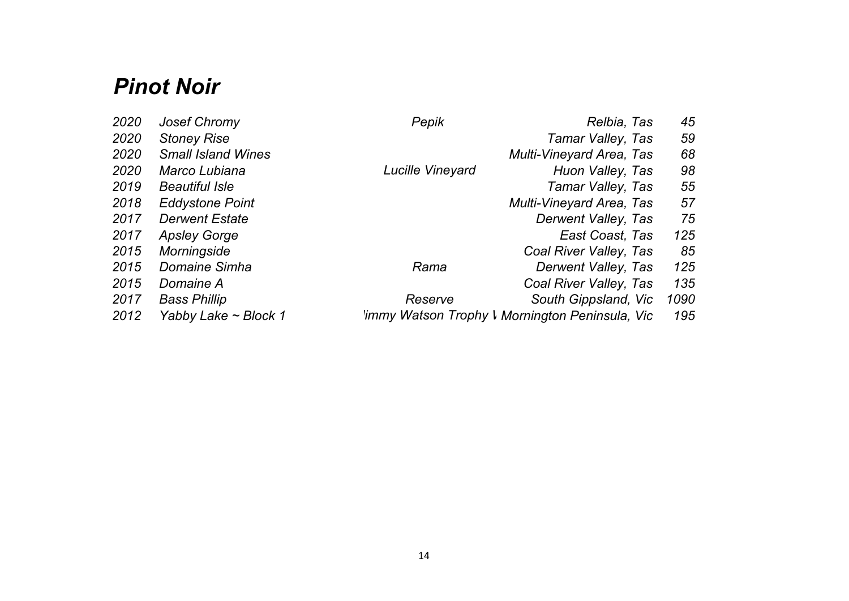## *Pinot Noir*

| 2020 | <b>Josef Chromy</b>       | Pepik            | Relbia, Tas                                     | 45   |
|------|---------------------------|------------------|-------------------------------------------------|------|
| 2020 | <b>Stoney Rise</b>        |                  | Tamar Valley, Tas                               | 59   |
| 2020 | <b>Small Island Wines</b> |                  | <b>Multi-Vineyard Area, Tas</b>                 | 68   |
| 2020 | Marco Lubiana             | Lucille Vineyard | Huon Valley, Tas                                | 98   |
| 2019 | <b>Beautiful Isle</b>     |                  | Tamar Valley, Tas                               | 55   |
| 2018 | <b>Eddystone Point</b>    |                  | Multi-Vineyard Area, Tas                        | 57   |
| 2017 | <b>Derwent Estate</b>     |                  | Derwent Valley, Tas                             | 75   |
| 2017 | <b>Apsley Gorge</b>       |                  | East Coast, Tas                                 | 125  |
| 2015 | Morningside               |                  | Coal River Valley, Tas                          | 85   |
| 2015 | Domaine Simha             | Rama             | Derwent Valley, Tas                             | 125  |
| 2015 | Domaine A                 |                  | Coal River Valley, Tas                          | 135  |
| 2017 | <b>Bass Phillip</b>       | Reserve          | South Gippsland, Vic                            | 1090 |
| 2012 | Yabby Lake ~ Block 1      |                  | limmy Watson Trophy I Mornington Peninsula, Vic | 195  |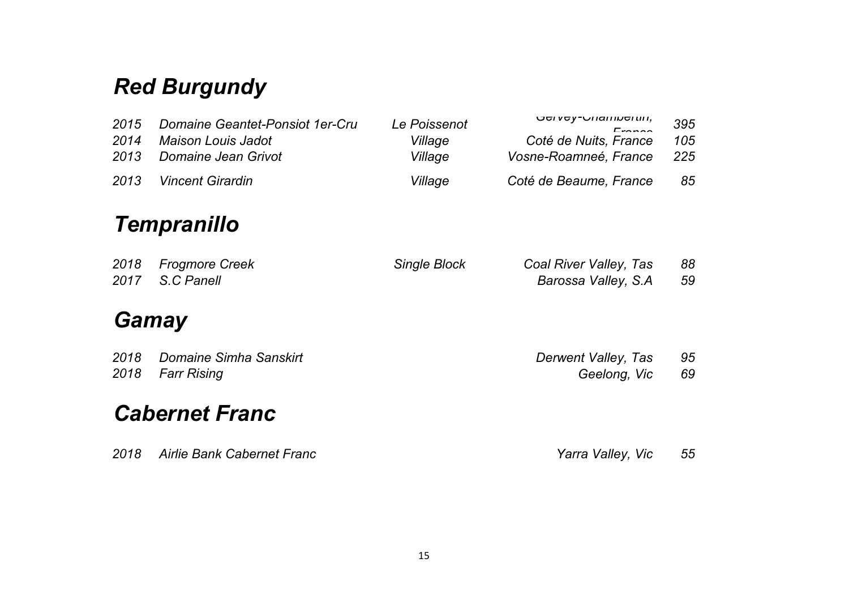# *Red Burgundy*

| 2015<br>2014<br>2013 | Domaine Geantet-Ponsiot 1er-Cru<br><b>Maison Louis Jadot</b><br>Domaine Jean Grivot | Le Poissenot<br>Village<br>Village | Eronoo<br>Coté de Nuits, France<br>Vosne-Roamneé, France | 395<br>105<br>225 |
|----------------------|-------------------------------------------------------------------------------------|------------------------------------|----------------------------------------------------------|-------------------|
| 2013                 | <b>Vincent Girardin</b>                                                             | Village                            | Coté de Beaume, France                                   | 85                |
|                      | <b>Tempranillo</b>                                                                  |                                    |                                                          |                   |
| 2018<br>2017         | <b>Frogmore Creek</b><br>S.C Panell                                                 | Single Block                       | Coal River Valley, Tas<br>Barossa Valley, S.A            | 88<br>59          |
|                      | Gamay                                                                               |                                    |                                                          |                   |
| 2018<br>2018         | Domaine Simha Sanskirt<br><b>Farr Rising</b>                                        |                                    | Derwent Valley, Tas<br>Geelong, Vic                      | 95<br>69          |
|                      | <b>Cabernet Franc</b>                                                               |                                    |                                                          |                   |
| 2018                 | <b>Airlie Bank Cabernet Franc</b>                                                   |                                    | Yarra Valley, Vic                                        | 55                |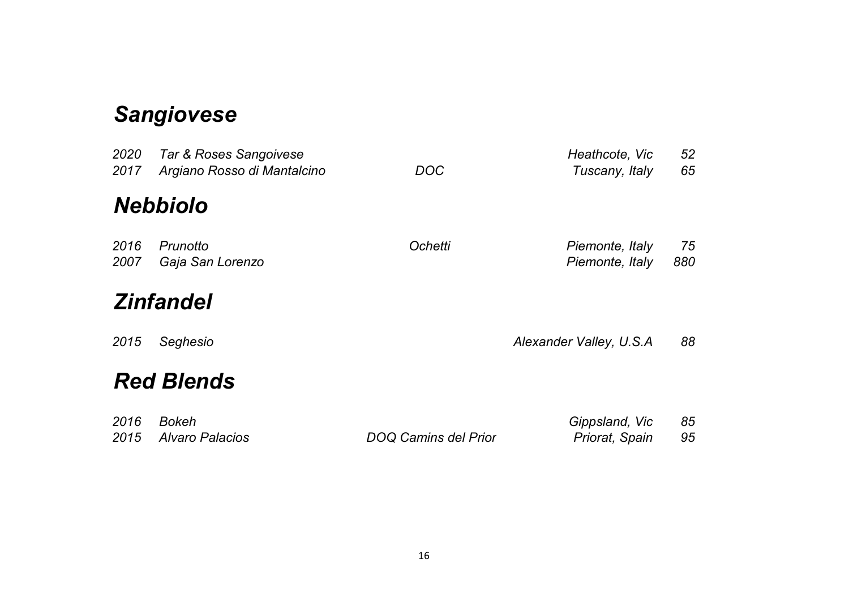# *Sangiovese*

| 2020<br>2017 | Tar & Roses Sangoivese<br>Argiano Rosso di Mantalcino | DOC                         | Heathcote, Vic<br>Tuscany, Italy   | 52<br>65  |
|--------------|-------------------------------------------------------|-----------------------------|------------------------------------|-----------|
|              | <b>Nebbiolo</b>                                       |                             |                                    |           |
| 2016<br>2007 | Prunotto<br>Gaja San Lorenzo                          | <b>Ochetti</b>              | Piemonte, Italy<br>Piemonte, Italy | 75<br>880 |
|              | <b>Zinfandel</b>                                      |                             |                                    |           |
| 2015         | Seghesio                                              |                             | Alexander Valley, U.S.A            | 88        |
|              | <b>Red Blends</b>                                     |                             |                                    |           |
| 2016<br>2015 | <b>Bokeh</b><br><b>Alvaro Palacios</b>                | <b>DOQ Camins del Prior</b> | Gippsland, Vic<br>Priorat, Spain   | 85<br>95  |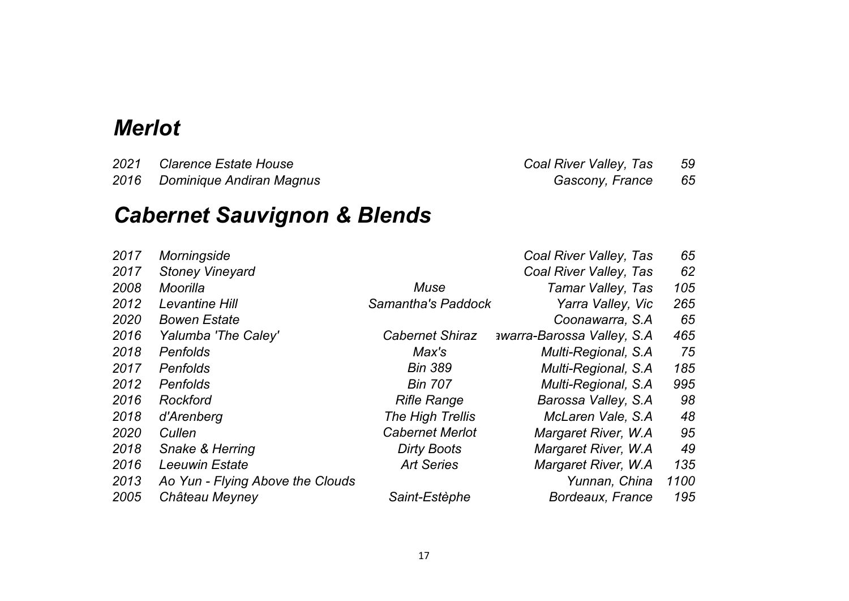### *Merlot*

 *Clarence Estate House Coal River Valley, Tas 59 Dominique Andiran Magnus Gascony, France 65*

# *Cabernet Sauvignon & Blends*

| 2017 | Morningside                      |                        | Coal River Valley, Tas             | 65   |
|------|----------------------------------|------------------------|------------------------------------|------|
| 2017 | <b>Stoney Vineyard</b>           |                        | Coal River Valley, Tas             | 62   |
| 2008 | Moorilla                         | Muse                   | Tamar Valley, Tas                  | 105  |
| 2012 | Levantine Hill                   | Samantha's Paddock     | Yarra Valley, Vic                  | 265  |
| 2020 | <b>Bowen Estate</b>              |                        | Coonawarra, S.A.                   | 65   |
| 2016 | Yalumba 'The Caley'              | <b>Cabernet Shiraz</b> | <b>awarra-Barossa Valley, S.A.</b> | 465  |
| 2018 | <b>Penfolds</b>                  | Max's                  | Multi-Regional, S.A.               | 75   |
| 2017 | <b>Penfolds</b>                  | <b>Bin 389</b>         | Multi-Regional, S.A.               | 185  |
| 2012 | <b>Penfolds</b>                  | <b>Bin 707</b>         | Multi-Regional, S.A.               | 995  |
| 2016 | <b>Rockford</b>                  | <b>Rifle Range</b>     | Barossa Valley, S.A.               | 98   |
| 2018 | d'Arenberg                       | The High Trellis       | McLaren Vale, S.A.                 | 48   |
| 2020 | Cullen                           | <b>Cabernet Merlot</b> | Margaret River, W.A.               | 95   |
| 2018 | Snake & Herring                  | Dirty Boots            | Margaret River, W.A.               | 49   |
| 2016 | <b>Leeuwin Estate</b>            | <b>Art Series</b>      | Margaret River, W.A.               | 135  |
| 2013 | Ao Yun - Flying Above the Clouds |                        | Yunnan, China                      | 1100 |
| 2005 | Château Meyney                   | Saint-Estèphe          | Bordeaux, France                   | 195  |
|      |                                  |                        |                                    |      |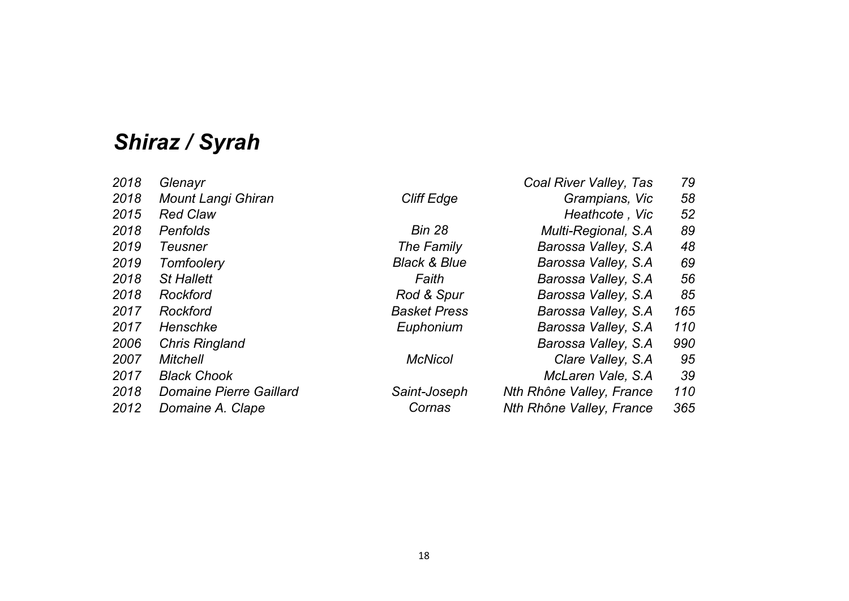# *Shiraz / Syrah*

| 2018 | Glenayr                        |                         | Coal River Valley, Tas   | 79  |
|------|--------------------------------|-------------------------|--------------------------|-----|
| 2018 | <b>Mount Langi Ghiran</b>      | <b>Cliff Edge</b>       | Grampians, Vic           | 58  |
| 2015 | <b>Red Claw</b>                |                         | Heathcote, Vic           | 52  |
| 2018 | <b>Penfolds</b>                | <b>Bin 28</b>           | Multi-Regional, S.A.     | 89  |
| 2019 | Teusner                        | The Family              | Barossa Valley, S.A.     | 48  |
| 2019 | Tomfoolery                     | <b>Black &amp; Blue</b> | Barossa Valley, S.A.     | 69  |
| 2018 | <b>St Hallett</b>              | Faith                   | Barossa Valley, S.A.     | 56  |
| 2018 | Rockford                       | Rod & Spur              | Barossa Valley, S.A.     | 85  |
| 2017 | <b>Rockford</b>                | <b>Basket Press</b>     | Barossa Valley, S.A.     | 165 |
| 2017 | Henschke                       | Euphonium               | Barossa Valley, S.A.     | 110 |
| 2006 | <b>Chris Ringland</b>          |                         | Barossa Valley, S.A.     | 990 |
| 2007 | <b>Mitchell</b>                | <b>McNicol</b>          | Clare Valley, S.A.       | 95  |
| 2017 | <b>Black Chook</b>             |                         | McLaren Vale, S.A.       | 39  |
| 2018 | <b>Domaine Pierre Gaillard</b> | Saint-Joseph            | Nth Rhône Valley, France | 110 |
| 2012 | Domaine A. Clape               | Cornas                  | Nth Rhône Valley, France | 365 |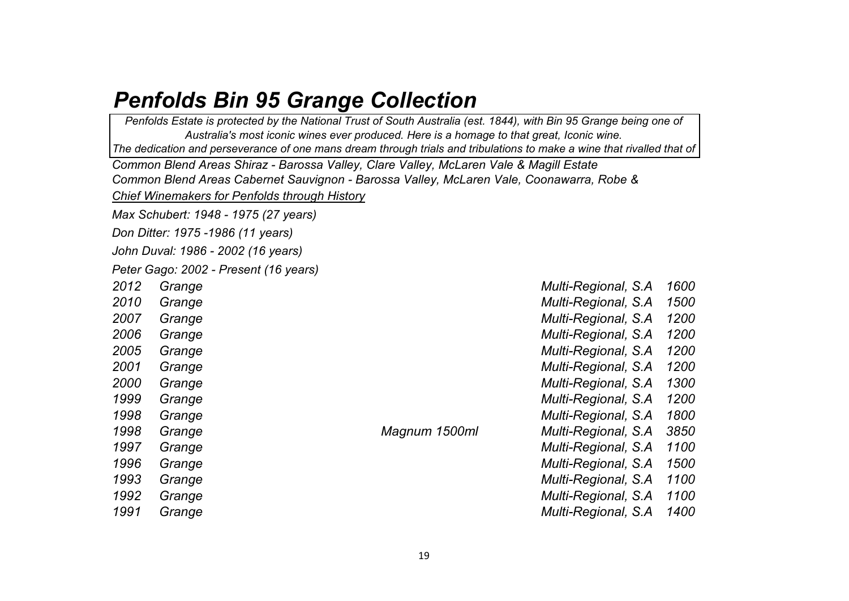### *Penfolds Bin 95 Grange Collection*

*Chief Winemakers for Penfolds through History Max Schubert: 1948 - 1975 (27 years) Don Ditter: 1975 -1986 (11 years) John Duval: 1986 - 2002 (16 years) Peter Gago: 2002 - Present (16 years) 2012 Grange Multi-Regional, S.A 1600 2010 Grange Multi-Regional, S.A 1500 2007 Grange Multi-Regional, S.A 1200 2006 Grange Multi-Regional, S.A 1200 2005 Grange Multi-Regional, S.A 1200 2001 Grange Multi-Regional, S.A 1200 2000 Grange Multi-Regional, S.A 1300 1999 Grange Multi-Regional, S.A 1200 1998 Grange Multi-Regional, S.A 1800 1998 Grange Magnum 1500ml Multi-Regional, S.A 3850 1997 Grange Multi-Regional, S.A 1100 1996 Grange Multi-Regional, S.A 1500 1993 Grange Multi-Regional, S.A 1100 1992 Grange Multi-Regional, S.A 1100 1991 Grange Multi-Regional, S.A 1400 Common Blend Areas Cabernet Sauvignon - Barossa Valley, McLaren Vale, Coonawarra, Robe & Penfolds Estate is protected by the National Trust of South Australia (est. 1844), with Bin 95 Grange being one of Australia's most iconic wines ever produced. Here is a homage to that great, Iconic wine. The dedication and perseverance of one mans dream through trials and tribulations to make a wine that rivalled that of Common Blend Areas Shiraz - Barossa Valley, Clare Valley, McLaren Vale & Magill Estate*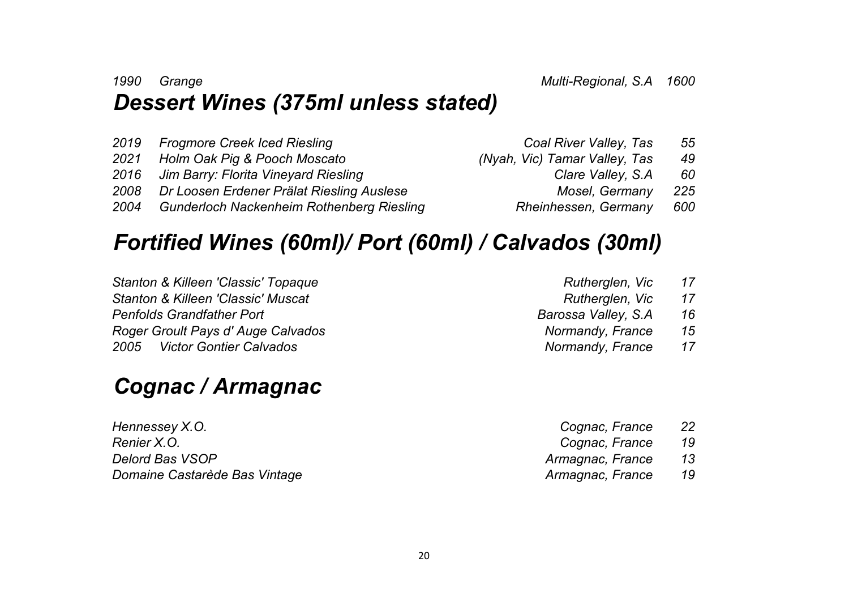#### *1990 Grange Multi-Regional, S.A 1600 Dessert Wines (375ml unless stated)*

|      | 2019 Frogmore Creek Iced Riesling                | Coal River Valley, Tas        | 55  |
|------|--------------------------------------------------|-------------------------------|-----|
| 2021 | Holm Oak Pig & Pooch Moscato                     | (Nyah, Vic) Tamar Valley, Tas | 49  |
|      | 2016 Jim Barry: Florita Vineyard Riesling        | Clare Valley, S.A.            | 60  |
|      | 2008 Dr Loosen Erdener Prälat Riesling Auslese   | Mosel, Germany                | 225 |
| 2004 | <b>Gunderloch Nackenheim Rothenberg Riesling</b> | Rheinhessen, Germany          | 600 |

## *Fortified Wines (60ml)/ Port (60ml) / Calvados (30ml)*

*Stanton & Killeen 'Classic' Topaque Stanton & Killeen 'Classic' Muscat Penfolds Grandfather Port Roger Groult Pays d' Auge Calvados Normandy, France 15 2005 Victor Gontier Calvados Normandy, France 17*

## *Cognac / Armagnac*

*Hennessey X.O. Renier X.O. Cognac, France 19*  $Delord$  *Bas VSOP Domaine Castarède Bas Vintage* 

| Rutherglen, Vic        | 17             |
|------------------------|----------------|
| Rutherglen, Vic        | 17             |
| Barossa Valley, S.A    | 16             |
| Normandy, France       | 15             |
| $M$ awaanaaluu Funnaan | 1 <del>7</del> |

| Cognac, France   | 22 |
|------------------|----|
| Cognac, France   | 19 |
| Armagnac, France | 13 |
| Armagnac, France | 19 |
|                  |    |